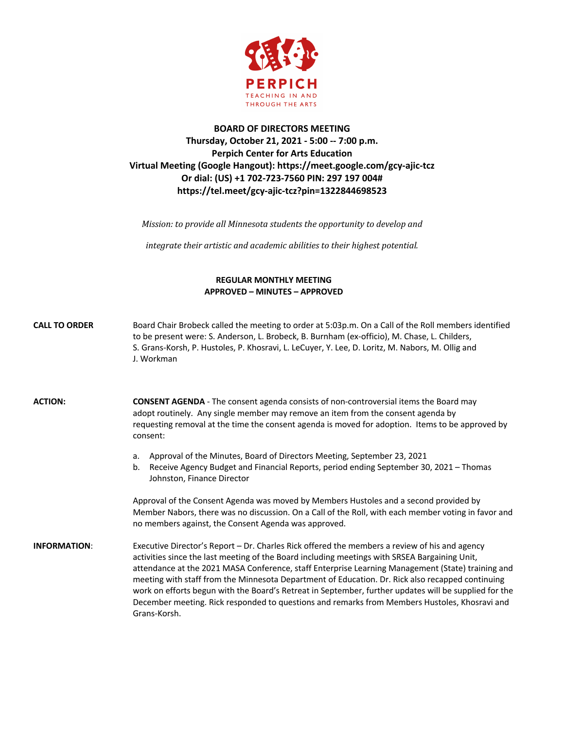

## **BOARD OF DIRECTORS MEETING Thursday, October 21, 2021 - 5:00 -- 7:00 p.m. Perpich Center for Arts Education Virtual Meeting (Google Hangout): https://meet.google.com/gcy-ajic-tcz Or dial: (US) +1 702-723-7560 PIN: 297 197 004# https://tel.meet/gcy-ajic-tcz?pin=1322844698523**

*Mission:* to provide all Minnesota students the opportunity to develop and

*integrate their artistic and academic abilities to their highest potential.* 

## **REGULAR MONTHLY MEETING APPROVED – MINUTES – APPROVED**

| <b>CALL TO ORDER</b> | Board Chair Brobeck called the meeting to order at 5:03p.m. On a Call of the Roll members identified<br>to be present were: S. Anderson, L. Brobeck, B. Burnham (ex-officio), M. Chase, L. Childers,<br>S. Grans-Korsh, P. Hustoles, P. Khosravi, L. LeCuyer, Y. Lee, D. Loritz, M. Nabors, M. Ollig and<br>J. Workman                                                                                                                                                                                                                                                                                                            |
|----------------------|-----------------------------------------------------------------------------------------------------------------------------------------------------------------------------------------------------------------------------------------------------------------------------------------------------------------------------------------------------------------------------------------------------------------------------------------------------------------------------------------------------------------------------------------------------------------------------------------------------------------------------------|
| <b>ACTION:</b>       | <b>CONSENT AGENDA</b> - The consent agenda consists of non-controversial items the Board may<br>adopt routinely. Any single member may remove an item from the consent agenda by<br>requesting removal at the time the consent agenda is moved for adoption. Items to be approved by<br>consent:                                                                                                                                                                                                                                                                                                                                  |
|                      | Approval of the Minutes, Board of Directors Meeting, September 23, 2021<br>a.<br>Receive Agency Budget and Financial Reports, period ending September 30, 2021 - Thomas<br>b.<br>Johnston, Finance Director                                                                                                                                                                                                                                                                                                                                                                                                                       |
|                      | Approval of the Consent Agenda was moved by Members Hustoles and a second provided by<br>Member Nabors, there was no discussion. On a Call of the Roll, with each member voting in favor and<br>no members against, the Consent Agenda was approved.                                                                                                                                                                                                                                                                                                                                                                              |
| <b>INFORMATION:</b>  | Executive Director's Report – Dr. Charles Rick offered the members a review of his and agency<br>activities since the last meeting of the Board including meetings with SRSEA Bargaining Unit,<br>attendance at the 2021 MASA Conference, staff Enterprise Learning Management (State) training and<br>meeting with staff from the Minnesota Department of Education. Dr. Rick also recapped continuing<br>work on efforts begun with the Board's Retreat in September, further updates will be supplied for the<br>December meeting. Rick responded to questions and remarks from Members Hustoles, Khosravi and<br>Grans-Korsh. |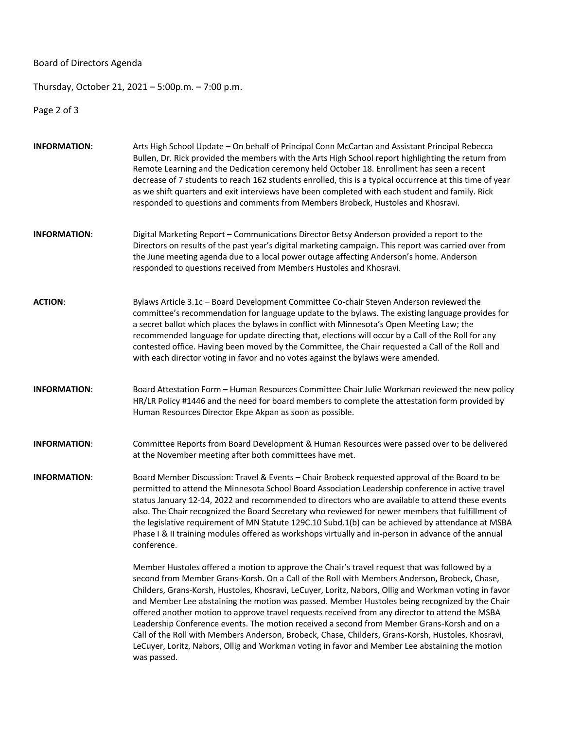Board of Directors Agenda

Thursday, October 21, 2021 – 5:00p.m. – 7:00 p.m.

Page 2 of 3

| <b>INFORMATION:</b> | Arts High School Update - On behalf of Principal Conn McCartan and Assistant Principal Rebecca<br>Bullen, Dr. Rick provided the members with the Arts High School report highlighting the return from<br>Remote Learning and the Dedication ceremony held October 18. Enrollment has seen a recent<br>decrease of 7 students to reach 162 students enrolled, this is a typical occurrence at this time of year<br>as we shift quarters and exit interviews have been completed with each student and family. Rick<br>responded to questions and comments from Members Brobeck, Hustoles and Khosravi.                                                                                                                                                                                                                              |  |  |
|---------------------|------------------------------------------------------------------------------------------------------------------------------------------------------------------------------------------------------------------------------------------------------------------------------------------------------------------------------------------------------------------------------------------------------------------------------------------------------------------------------------------------------------------------------------------------------------------------------------------------------------------------------------------------------------------------------------------------------------------------------------------------------------------------------------------------------------------------------------|--|--|
| <b>INFORMATION:</b> | Digital Marketing Report - Communications Director Betsy Anderson provided a report to the<br>Directors on results of the past year's digital marketing campaign. This report was carried over from<br>the June meeting agenda due to a local power outage affecting Anderson's home. Anderson<br>responded to questions received from Members Hustoles and Khosravi.                                                                                                                                                                                                                                                                                                                                                                                                                                                              |  |  |
| <b>ACTION:</b>      | Bylaws Article 3.1c - Board Development Committee Co-chair Steven Anderson reviewed the<br>committee's recommendation for language update to the bylaws. The existing language provides for<br>a secret ballot which places the bylaws in conflict with Minnesota's Open Meeting Law; the<br>recommended language for update directing that, elections will occur by a Call of the Roll for any<br>contested office. Having been moved by the Committee, the Chair requested a Call of the Roll and<br>with each director voting in favor and no votes against the bylaws were amended.                                                                                                                                                                                                                                            |  |  |
| <b>INFORMATION:</b> | Board Attestation Form - Human Resources Committee Chair Julie Workman reviewed the new policy<br>HR/LR Policy #1446 and the need for board members to complete the attestation form provided by<br>Human Resources Director Ekpe Akpan as soon as possible.                                                                                                                                                                                                                                                                                                                                                                                                                                                                                                                                                                       |  |  |
| <b>INFORMATION:</b> | Committee Reports from Board Development & Human Resources were passed over to be delivered<br>at the November meeting after both committees have met.                                                                                                                                                                                                                                                                                                                                                                                                                                                                                                                                                                                                                                                                             |  |  |
| <b>INFORMATION:</b> | Board Member Discussion: Travel & Events - Chair Brobeck requested approval of the Board to be<br>permitted to attend the Minnesota School Board Association Leadership conference in active travel<br>status January 12-14, 2022 and recommended to directors who are available to attend these events<br>also. The Chair recognized the Board Secretary who reviewed for newer members that fulfillment of<br>the legislative requirement of MN Statute 129C.10 Subd.1(b) can be achieved by attendance at MSBA<br>Phase I & II training modules offered as workshops virtually and in-person in advance of the annual<br>conference.                                                                                                                                                                                            |  |  |
|                     | Member Hustoles offered a motion to approve the Chair's travel request that was followed by a<br>second from Member Grans-Korsh. On a Call of the Roll with Members Anderson, Brobeck, Chase,<br>Childers, Grans-Korsh, Hustoles, Khosravi, LeCuyer, Loritz, Nabors, Ollig and Workman voting in favor<br>and Member Lee abstaining the motion was passed. Member Hustoles being recognized by the Chair<br>offered another motion to approve travel requests received from any director to attend the MSBA<br>Leadership Conference events. The motion received a second from Member Grans-Korsh and on a<br>Call of the Roll with Members Anderson, Brobeck, Chase, Childers, Grans-Korsh, Hustoles, Khosravi,<br>LeCuyer, Loritz, Nabors, Ollig and Workman voting in favor and Member Lee abstaining the motion<br>was passed. |  |  |